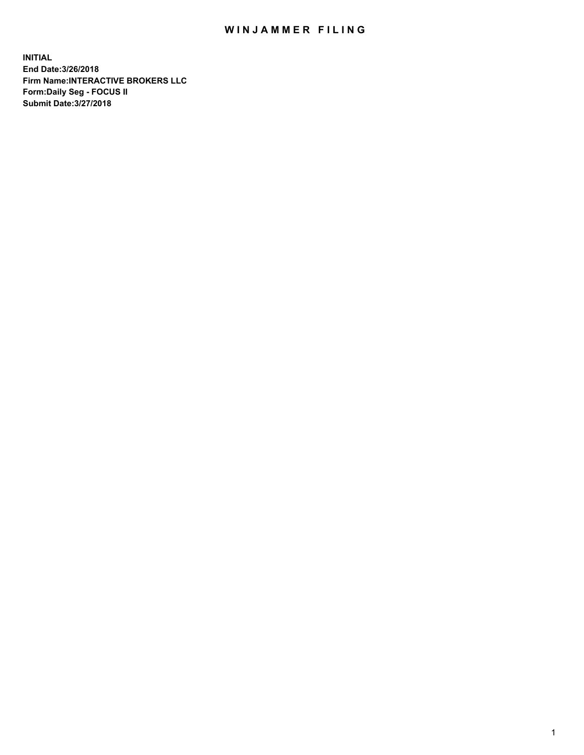## WIN JAMMER FILING

**INITIAL End Date:3/26/2018 Firm Name:INTERACTIVE BROKERS LLC Form:Daily Seg - FOCUS II Submit Date:3/27/2018**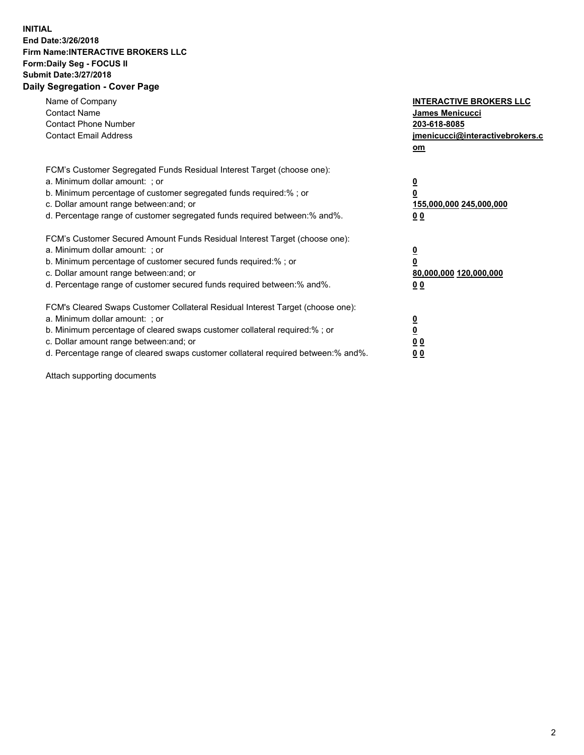## **INITIAL End Date:3/26/2018 Firm Name:INTERACTIVE BROKERS LLC Form:Daily Seg - FOCUS II Submit Date:3/27/2018 Daily Segregation - Cover Page**

| Name of Company<br><b>Contact Name</b><br><b>Contact Phone Number</b><br><b>Contact Email Address</b>                                                                                                                                                                                                                          | <b>INTERACTIVE BROKERS LLC</b><br>James Menicucci<br>203-618-8085<br>jmenicucci@interactivebrokers.c<br>om |
|--------------------------------------------------------------------------------------------------------------------------------------------------------------------------------------------------------------------------------------------------------------------------------------------------------------------------------|------------------------------------------------------------------------------------------------------------|
| FCM's Customer Segregated Funds Residual Interest Target (choose one):<br>a. Minimum dollar amount: ; or<br>b. Minimum percentage of customer segregated funds required:%; or<br>c. Dollar amount range between: and; or<br>d. Percentage range of customer segregated funds required between:% and%.                          | $\overline{\mathbf{0}}$<br>0<br>155,000,000 245,000,000<br>0 <sub>0</sub>                                  |
| FCM's Customer Secured Amount Funds Residual Interest Target (choose one):<br>a. Minimum dollar amount: ; or<br>b. Minimum percentage of customer secured funds required:%; or<br>c. Dollar amount range between: and; or<br>d. Percentage range of customer secured funds required between:% and%.                            | $\overline{\mathbf{0}}$<br>$\overline{\mathbf{0}}$<br>80,000,000 120,000,000<br>00                         |
| FCM's Cleared Swaps Customer Collateral Residual Interest Target (choose one):<br>a. Minimum dollar amount: ; or<br>b. Minimum percentage of cleared swaps customer collateral required:% ; or<br>c. Dollar amount range between: and; or<br>d. Percentage range of cleared swaps customer collateral required between:% and%. | $\overline{\mathbf{0}}$<br>$\overline{\mathbf{0}}$<br>0 <sub>0</sub><br><u>00</u>                          |

Attach supporting documents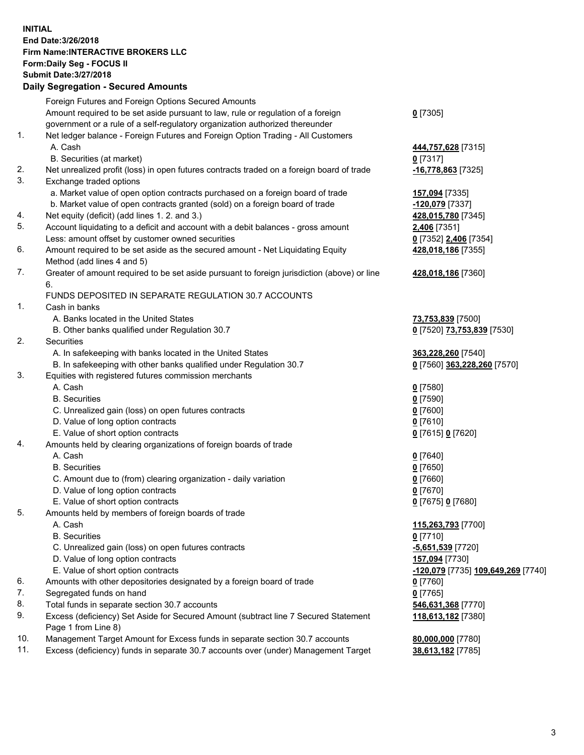## **INITIAL End Date:3/26/2018 Firm Name:INTERACTIVE BROKERS LLC Form:Daily Seg - FOCUS II Submit Date:3/27/2018 Daily Segregation - Secured Amounts**

|     | Daily Segregation - Secured Announts                                                                       |                                    |
|-----|------------------------------------------------------------------------------------------------------------|------------------------------------|
|     | Foreign Futures and Foreign Options Secured Amounts                                                        |                                    |
|     | Amount required to be set aside pursuant to law, rule or regulation of a foreign                           | $0$ [7305]                         |
|     | government or a rule of a self-regulatory organization authorized thereunder                               |                                    |
| 1.  | Net ledger balance - Foreign Futures and Foreign Option Trading - All Customers                            |                                    |
|     | A. Cash                                                                                                    | 444,757,628 [7315]                 |
|     | B. Securities (at market)                                                                                  | $0$ [7317]                         |
| 2.  | Net unrealized profit (loss) in open futures contracts traded on a foreign board of trade                  | $-16,778,863$ [7325]               |
| 3.  | Exchange traded options                                                                                    |                                    |
|     | a. Market value of open option contracts purchased on a foreign board of trade                             | 157,094 [7335]                     |
|     | b. Market value of open contracts granted (sold) on a foreign board of trade                               | -120,079 [7337]                    |
| 4.  | Net equity (deficit) (add lines 1.2. and 3.)                                                               | 428,015,780 [7345]                 |
| 5.  | Account liquidating to a deficit and account with a debit balances - gross amount                          | 2,406 [7351]                       |
|     | Less: amount offset by customer owned securities                                                           | 0 [7352] 2,406 [7354]              |
| 6.  | Amount required to be set aside as the secured amount - Net Liquidating Equity                             | 428,018,186 [7355]                 |
|     | Method (add lines 4 and 5)                                                                                 |                                    |
| 7.  | Greater of amount required to be set aside pursuant to foreign jurisdiction (above) or line                | 428,018,186 [7360]                 |
|     | 6.                                                                                                         |                                    |
|     | FUNDS DEPOSITED IN SEPARATE REGULATION 30.7 ACCOUNTS                                                       |                                    |
| 1.  | Cash in banks                                                                                              |                                    |
|     | A. Banks located in the United States                                                                      | 73,753,839 [7500]                  |
|     | B. Other banks qualified under Regulation 30.7                                                             | 0 [7520] 73,753,839 [7530]         |
| 2.  | Securities                                                                                                 |                                    |
|     | A. In safekeeping with banks located in the United States                                                  | 363,228,260 [7540]                 |
|     | B. In safekeeping with other banks qualified under Regulation 30.7                                         | 0 [7560] 363,228,260 [7570]        |
| 3.  | Equities with registered futures commission merchants                                                      |                                    |
|     | A. Cash                                                                                                    | $0$ [7580]                         |
|     | <b>B.</b> Securities                                                                                       | $0$ [7590]                         |
|     | C. Unrealized gain (loss) on open futures contracts                                                        | $0$ [7600]                         |
|     | D. Value of long option contracts                                                                          | $0$ [7610]                         |
|     | E. Value of short option contracts                                                                         |                                    |
| 4.  | Amounts held by clearing organizations of foreign boards of trade                                          | 0 [7615] 0 [7620]                  |
|     | A. Cash                                                                                                    |                                    |
|     | <b>B.</b> Securities                                                                                       | $0$ [7640]                         |
|     |                                                                                                            | $0$ [7650]                         |
|     | C. Amount due to (from) clearing organization - daily variation                                            | $0$ [7660]                         |
|     | D. Value of long option contracts                                                                          | 0 [7670]                           |
|     | E. Value of short option contracts                                                                         | 0 [7675] 0 [7680]                  |
| 5.  | Amounts held by members of foreign boards of trade                                                         |                                    |
|     | A. Cash                                                                                                    | 115,263,793 [7700]                 |
|     | <b>B.</b> Securities                                                                                       | $0$ [7710]                         |
|     | C. Unrealized gain (loss) on open futures contracts                                                        | -5,651,539 [7720]                  |
|     | D. Value of long option contracts                                                                          | 157,094 [7730]                     |
|     | E. Value of short option contracts                                                                         | -120,079 [7735] 109,649,269 [7740] |
| 6.  | Amounts with other depositories designated by a foreign board of trade                                     | 0 [7760]                           |
| 7.  | Segregated funds on hand                                                                                   | $0$ [7765]                         |
| 8.  | Total funds in separate section 30.7 accounts                                                              | 546,631,368 [7770]                 |
| 9.  | Excess (deficiency) Set Aside for Secured Amount (subtract line 7 Secured Statement<br>Page 1 from Line 8) | 118,613,182 [7380]                 |
| 10. | Management Target Amount for Excess funds in separate section 30.7 accounts                                | 80,000,000 [7780]                  |
| 11. | Excess (deficiency) funds in separate 30.7 accounts over (under) Management Target                         | 38,613,182 [7785]                  |
|     |                                                                                                            |                                    |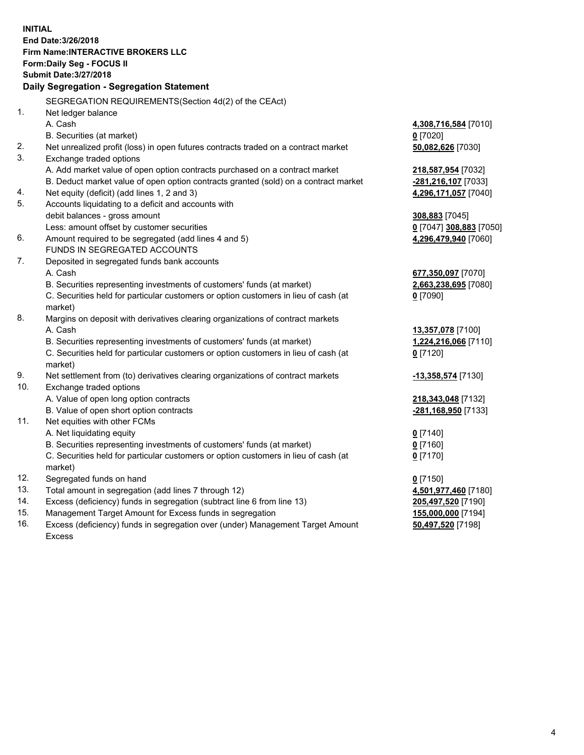**INITIAL End Date:3/26/2018 Firm Name:INTERACTIVE BROKERS LLC Form:Daily Seg - FOCUS II Submit Date:3/27/2018 Daily Segregation - Segregation Statement** SEGREGATION REQUIREMENTS(Section 4d(2) of the CEAct) 1. Net ledger balance A. Cash **4,308,716,584** [7010] B. Securities (at market) **0** [7020] 2. Net unrealized profit (loss) in open futures contracts traded on a contract market **50,082,626** [7030] 3. Exchange traded options A. Add market value of open option contracts purchased on a contract market **218,587,954** [7032] B. Deduct market value of open option contracts granted (sold) on a contract market **-281,216,107** [7033] 4. Net equity (deficit) (add lines 1, 2 and 3) **4,296,171,057** [7040] 5. Accounts liquidating to a deficit and accounts with debit balances - gross amount **308,883** [7045] Less: amount offset by customer securities **0** [7047] **308,883** [7050] 6. Amount required to be segregated (add lines 4 and 5) **4,296,479,940** [7060] FUNDS IN SEGREGATED ACCOUNTS 7. Deposited in segregated funds bank accounts A. Cash **677,350,097** [7070] B. Securities representing investments of customers' funds (at market) **2,663,238,695** [7080] C. Securities held for particular customers or option customers in lieu of cash (at market) **0** [7090] 8. Margins on deposit with derivatives clearing organizations of contract markets A. Cash **13,357,078** [7100] B. Securities representing investments of customers' funds (at market) **1,224,216,066** [7110] C. Securities held for particular customers or option customers in lieu of cash (at market) **0** [7120] 9. Net settlement from (to) derivatives clearing organizations of contract markets **-13,358,574** [7130] 10. Exchange traded options A. Value of open long option contracts **218,343,048** [7132] B. Value of open short option contracts **-281,168,950** [7133] 11. Net equities with other FCMs A. Net liquidating equity **0** [7140] B. Securities representing investments of customers' funds (at market) **0** [7160] C. Securities held for particular customers or option customers in lieu of cash (at market) **0** [7170] 12. Segregated funds on hand **0** [7150] 13. Total amount in segregation (add lines 7 through 12) **4,501,977,460** [7180] 14. Excess (deficiency) funds in segregation (subtract line 6 from line 13) **205,497,520** [7190] 15. Management Target Amount for Excess funds in segregation **155,000,000** [7194]

16. Excess (deficiency) funds in segregation over (under) Management Target Amount Excess

**50,497,520** [7198]